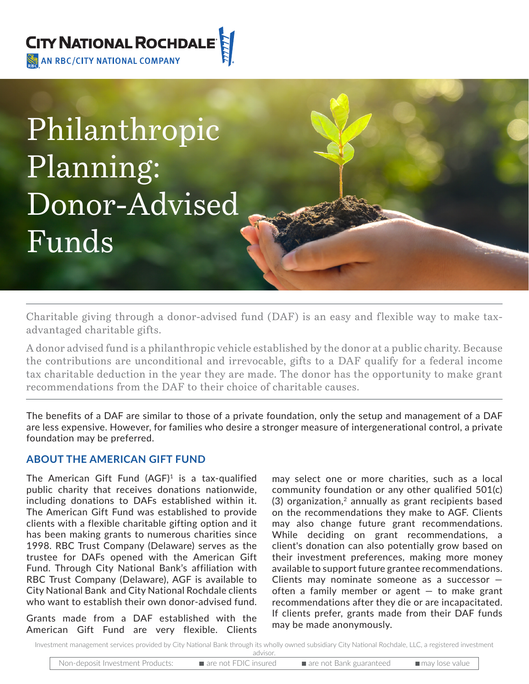

Philanthropic Planning: Donor-Advised Funds

Charitable giving through a donor-advised fund (DAF) is an easy and flexible way to make taxadvantaged charitable gifts.

A donor advised fund is a philanthropic vehicle established by the donor at a public charity. Because the contributions are unconditional and irrevocable, gifts to a DAF qualify for a federal income tax charitable deduction in the year they are made. The donor has the opportunity to make grant recommendations from the DAF to their choice of charitable causes.

The benefits of a DAF are similar to those of a private foundation, only the setup and management of a DAF are less expensive. However, for families who desire a stronger measure of intergenerational control, a private foundation may be preferred.

## **ABOUT THE AMERICAN GIFT FUND**

The American Gift Fund  $(AGF)^1$  is a tax-qualified public charity that receives donations nationwide, including donations to DAFs established within it. The American Gift Fund was established to provide clients with a flexible charitable gifting option and it has been making grants to numerous charities since 1998. RBC Trust Company (Delaware) serves as the trustee for DAFs opened with the American Gift Fund. Through City National Bank's affiliation with RBC Trust Company (Delaware), AGF is available to City National Bank and City National Rochdale clients who want to establish their own donor-advised fund.

Grants made from a DAF established with the American Gift Fund are very flexible. Clients may select one or more charities, such as a local community foundation or any other qualified 501(c)  $(3)$  organization,<sup>2</sup> annually as grant recipients based on the recommendations they make to AGF. Clients may also change future grant recommendations. While deciding on grant recommendations, a client's donation can also potentially grow based on their investment preferences, making more money available to support future grantee recommendations. Clients may nominate someone as a successor often a family member or agent  $-$  to make grant recommendations after they die or are incapacitated. If clients prefer, grants made from their DAF funds may be made anonymously.

Investment management services provided by City National Bank through its wholly owned subsidiary City National Rochdale, LLC, a registered investment advisor.